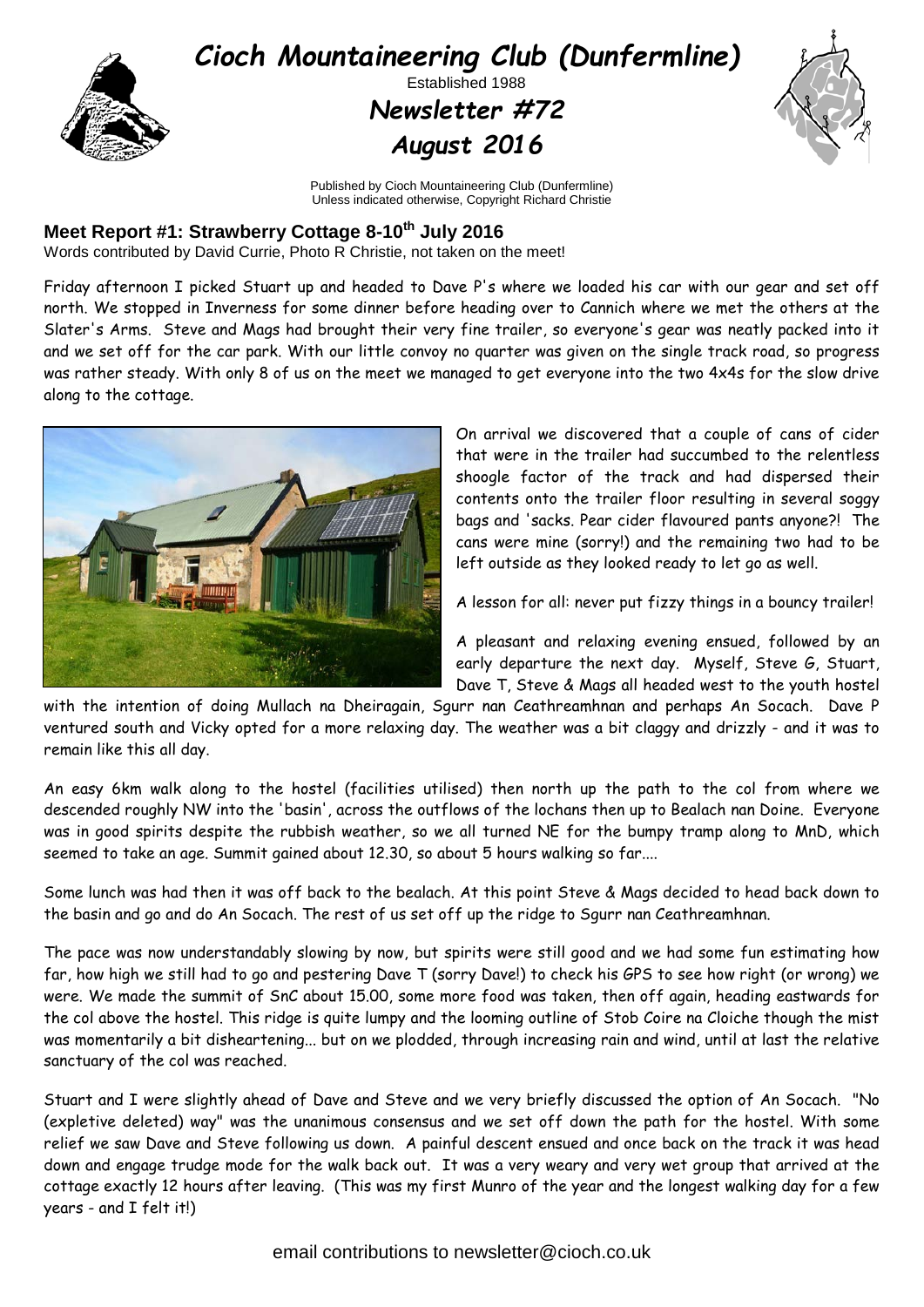

Published by Cioch Mountaineering Club (Dunfermline) Unless indicated otherwise, Copyright Richard Christie

## **Meet Report #1: Strawberry Cottage 8-10th July 2016**

Words contributed by David Currie, Photo R Christie, not taken on the meet!

Friday afternoon I picked Stuart up and headed to Dave P's where we loaded his car with our gear and set off north. We stopped in Inverness for some dinner before heading over to Cannich where we met the others at the Slater's Arms. Steve and Mags had brought their very fine trailer, so everyone's gear was neatly packed into it and we set off for the car park. With our little convoy no quarter was given on the single track road, so progress was rather steady. With only 8 of us on the meet we managed to get everyone into the two 4x4s for the slow drive along to the cottage.



On arrival we discovered that a couple of cans of cider that were in the trailer had succumbed to the relentless shoogle factor of the track and had dispersed their contents onto the trailer floor resulting in several soggy bags and 'sacks. Pear cider flavoured pants anyone?! The cans were mine (sorry!) and the remaining two had to be left outside as they looked ready to let go as well.

A lesson for all: never put fizzy things in a bouncy trailer!

A pleasant and relaxing evening ensued, followed by an early departure the next day. Myself, Steve G, Stuart, Dave T, Steve & Mags all headed west to the youth hostel

with the intention of doing Mullach na Dheiragain, Sgurr nan Ceathreamhnan and perhaps An Socach. Dave P ventured south and Vicky opted for a more relaxing day. The weather was a bit claggy and drizzly - and it was to remain like this all day.

An easy 6km walk along to the hostel (facilities utilised) then north up the path to the col from where we descended roughly NW into the 'basin', across the outflows of the lochans then up to Bealach nan Doine. Everyone was in good spirits despite the rubbish weather, so we all turned NE for the bumpy tramp along to MnD, which seemed to take an age. Summit gained about 12.30, so about 5 hours walking so far....

Some lunch was had then it was off back to the bealach. At this point Steve & Mags decided to head back down to the basin and go and do An Socach. The rest of us set off up the ridge to Sgurr nan Ceathreamhnan.

The pace was now understandably slowing by now, but spirits were still good and we had some fun estimating how far, how high we still had to go and pestering Dave T (sorry Dave!) to check his GPS to see how right (or wrong) we were. We made the summit of SnC about 15.00, some more food was taken, then off again, heading eastwards for the col above the hostel. This ridge is quite lumpy and the looming outline of Stob Coire na Cloiche though the mist was momentarily a bit disheartening... but on we plodded, through increasing rain and wind, until at last the relative sanctuary of the col was reached.

Stuart and I were slightly ahead of Dave and Steve and we very briefly discussed the option of An Socach. "No (expletive deleted) way" was the unanimous consensus and we set off down the path for the hostel. With some relief we saw Dave and Steve following us down. A painful descent ensued and once back on the track it was head down and engage trudge mode for the walk back out. It was a very weary and very wet group that arrived at the cottage exactly 12 hours after leaving. (This was my first Munro of the year and the longest walking day for a few years - and I felt it!)